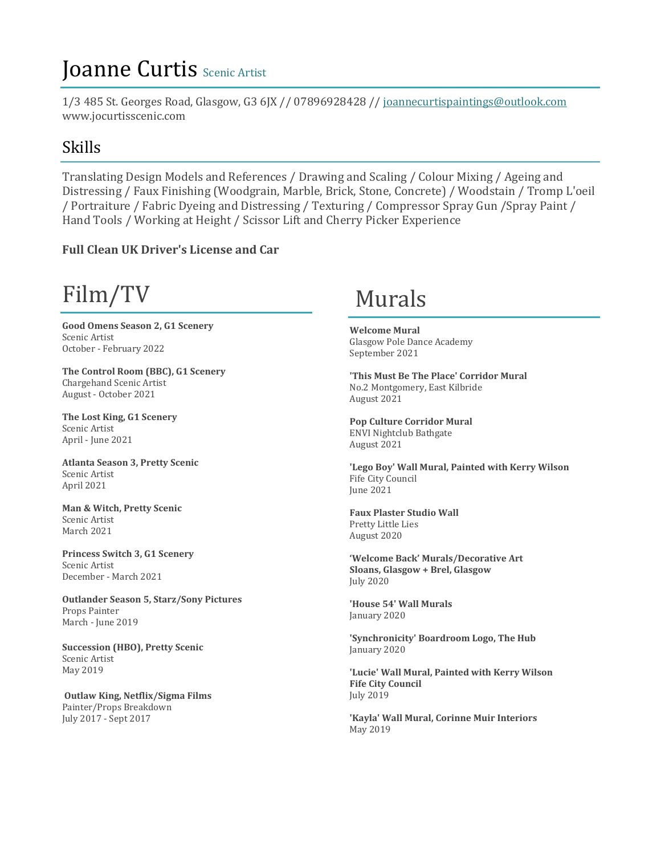# Joanne Curtis Scenic Artist

1/3 485 St. Georges Road, Glasgow, G3 6JX // 07896928428 // [joannecurtispaintings@outlook.com](mailto:joannecurtispaintings@outlook.com) www.jocurtisscenic.com

#### Skills

Translating Design Models and References / Drawing and Scaling / Colour Mixing / Ageing and Distressing / Faux Finishing (Woodgrain, Marble, Brick, Stone, Concrete) / Woodstain / Tromp L'oeil / Portraiture / Fabric Dyeing and Distressing / Texturing / Compressor Spray Gun /Spray Paint / Hand Tools / Working at Height / Scissor Lift and Cherry Picker Experience

#### **Full Clean UK Driver's License and Car**

# Film/TV

**Good Omens Season 2, G1 Scenery** Scenic Artist October - February 2022

**The Control Room (BBC), G1 Scenery** Chargehand Scenic Artist August - October 2021

**The Lost King, G1 Scenery** Scenic Artist April - June 2021

**Atlanta Season 3, Pretty Scenic** Scenic Artist April 2021

**Man & Witch, Pretty Scenic** Scenic Artist March 2021

**Princess Switch 3, G1 Scenery** Scenic Artist December - March 2021

**Outlander Season 5, Starz/Sony Pictures** Props Painter March - June 2019

**Succession (HBO), Pretty Scenic** Scenic Artist May 2019

**Outlaw King, Netflix/Sigma Films** Painter/Props Breakdown July 2017 - Sept 2017

## Murals

**Welcome Mural** Glasgow Pole Dance Academy September 2021

**'This Must Be The Place' Corridor Mural** No.2 Montgomery, East Kilbride August 2021

**Pop Culture Corridor Mural** ENVI Nightclub Bathgate August 2021

**'Lego Boy' Wall Mural, Painted with Kerry Wilson** Fife City Council June 2021

**Faux Plaster Studio Wall** Pretty Little Lies August 2020

**'Welcome Back' Murals/Decorative Art Sloans, Glasgow + Brel, Glasgow** July 2020

**'House 54' Wall Murals** January 2020

**'Synchronicity' Boardroom Logo, The Hub** January 2020

**'Lucie' Wall Mural, Painted with Kerry Wilson Fife City Council** July 2019

**'Kayla' Wall Mural, Corinne Muir Interiors** May 2019